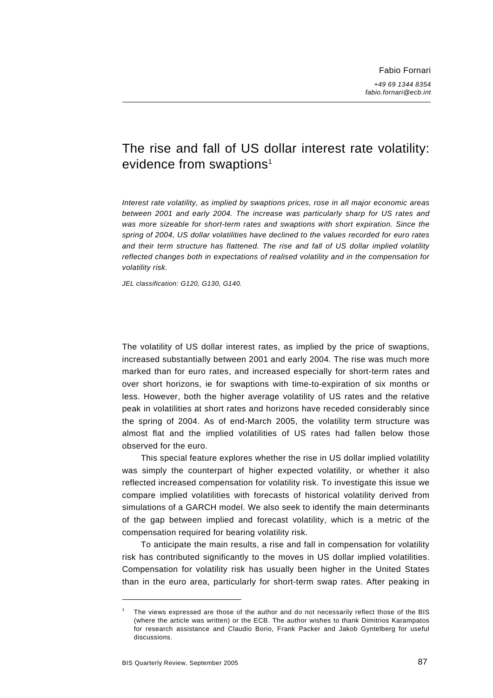# The rise and fall of US dollar interest rate volatility: evidence from swaptions<sup>1</sup>

*Interest rate volatility, as implied by swaptions prices, rose in all major economic areas between 2001 and early 2004. The increase was particularly sharp for US rates and was more sizeable for short-term rates and swaptions with short expiration. Since the spring of 2004, US dollar volatilities have declined to the values recorded for euro rates and their term structure has flattened. The rise and fall of US dollar implied volatility reflected changes both in expectations of realised volatility and in the compensation for volatility risk.* 

*JEL classification: G120, G130, G140.* 

The volatility of US dollar interest rates, as implied by the price of swaptions, increased substantially between 2001 and early 2004. The rise was much more marked than for euro rates, and increased especially for short-term rates and over short horizons, ie for swaptions with time-to-expiration of six months or less. However, both the higher average volatility of US rates and the relative peak in volatilities at short rates and horizons have receded considerably since the spring of 2004. As of end-March 2005, the volatility term structure was almost flat and the implied volatilities of US rates had fallen below those observed for the euro.

This special feature explores whether the rise in US dollar implied volatility was simply the counterpart of higher expected volatility, or whether it also reflected increased compensation for volatility risk. To investigate this issue we compare implied volatilities with forecasts of historical volatility derived from simulations of a GARCH model. We also seek to identify the main determinants of the gap between implied and forecast volatility, which is a metric of the compensation required for bearing volatility risk.

To anticipate the main results, a rise and fall in compensation for volatility risk has contributed significantly to the moves in US dollar implied volatilities. Compensation for volatility risk has usually been higher in the United States than in the euro area, particularly for short-term swap rates. After peaking in

<sup>1</sup> The views expressed are those of the author and do not necessarily reflect those of the BIS (where the article was written) or the ECB. The author wishes to thank Dimitrios Karampatos for research assistance and Claudio Borio, Frank Packer and Jakob Gyntelberg for useful discussions.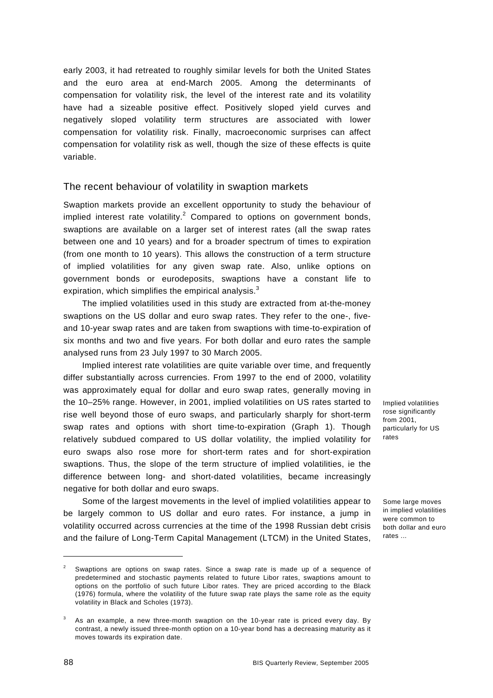early 2003, it had retreated to roughly similar levels for both the United States and the euro area at end-March 2005. Among the determinants of compensation for volatility risk, the level of the interest rate and its volatility have had a sizeable positive effect. Positively sloped yield curves and negatively sloped volatility term structures are associated with lower compensation for volatility risk. Finally, macroeconomic surprises can affect compensation for volatility risk as well, though the size of these effects is quite variable.

## The recent behaviour of volatility in swaption markets

Swaption markets provide an excellent opportunity to study the behaviour of implied interest rate volatility. $^2$  Compared to options on government bonds, swaptions are available on a larger set of interest rates (all the swap rates between one and 10 years) and for a broader spectrum of times to expiration (from one month to 10 years). This allows the construction of a term structure of implied volatilities for any given swap rate. Also, unlike options on government bonds or eurodeposits, swaptions have a constant life to expiration, which simplifies the empirical analysis.<sup>3</sup>

The implied volatilities used in this study are extracted from at-the-money swaptions on the US dollar and euro swap rates. They refer to the one-, fiveand 10-year swap rates and are taken from swaptions with time-to-expiration of six months and two and five years. For both dollar and euro rates the sample analysed runs from 23 July 1997 to 30 March 2005.

Implied interest rate volatilities are quite variable over time, and frequently differ substantially across currencies. From 1997 to the end of 2000, volatility was approximately equal for dollar and euro swap rates, generally moving in the 10–25% range. However, in 2001, implied volatilities on US rates started to rise well beyond those of euro swaps, and particularly sharply for short-term swap rates and options with short time-to-expiration (Graph 1). Though relatively subdued compared to US dollar volatility, the implied volatility for euro swaps also rose more for short-term rates and for short-expiration swaptions. Thus, the slope of the term structure of implied volatilities, ie the difference between long- and short-dated volatilities, became increasingly negative for both dollar and euro swaps.

Some of the largest movements in the level of implied volatilities appear to be largely common to US dollar and euro rates. For instance, a jump in volatility occurred across currencies at the time of the 1998 Russian debt crisis and the failure of Long-Term Capital Management (LTCM) in the United States,

Implied volatilities rose significantly from 2001, particularly for US rates

Some large moves in implied volatilities were common to both dollar and euro rates ...

<sup>2</sup> Swaptions are options on swap rates. Since a swap rate is made up of a sequence of predetermined and stochastic payments related to future Libor rates, swaptions amount to options on the portfolio of such future Libor rates. They are priced according to the Black (1976) formula, where the volatility of the future swap rate plays the same role as the equity volatility in Black and Scholes (1973).

<sup>3</sup> As an example, a new three-month swaption on the 10-year rate is priced every day. By contrast, a newly issued three-month option on a 10-year bond has a decreasing maturity as it moves towards its expiration date.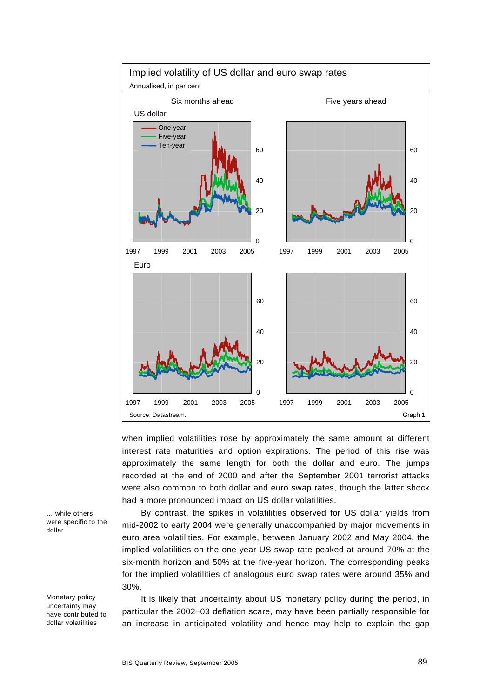

when implied volatilities rose by approximately the same amount at different interest rate maturities and option expirations. The period of this rise was approximately the same length for both the dollar and euro. The jumps recorded at the end of 2000 and after the September 2001 terrorist attacks were also common to both dollar and euro swap rates, though the latter shock had a more pronounced impact on US dollar volatilities.

By contrast, the spikes in volatilities observed for US dollar yields from mid-2002 to early 2004 were generally unaccompanied by major movements in euro area volatilities. For example, between January 2002 and May 2004, the implied volatilities on the one-year US swap rate peaked at around 70% at the six-month horizon and 50% at the five-year horizon. The corresponding peaks for the implied volatilities of analogous euro swap rates were around 35% and 30%.

It is likely that uncertainty about US monetary policy during the period, in particular the 2002–03 deflation scare, may have been partially responsible for an increase in anticipated volatility and hence may help to explain the gap

… while others were specific to the dollar

Monetary policy uncertainty may have contributed to dollar volatilities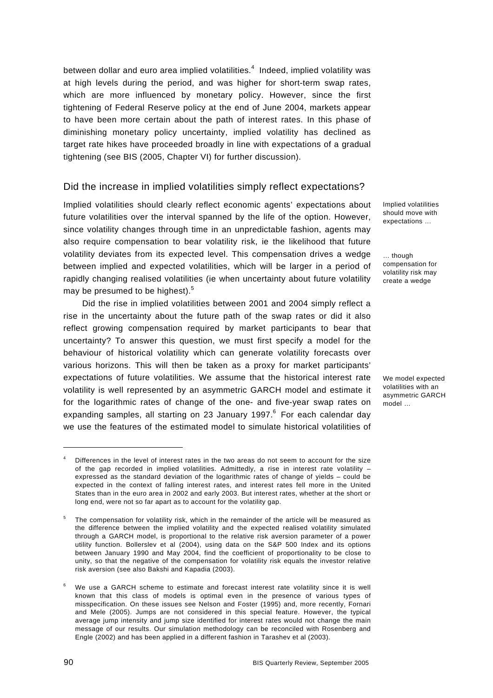between dollar and euro area implied volatilities. $4\,$  Indeed, implied volatility was at high levels during the period, and was higher for short-term swap rates, which are more influenced by monetary policy. However, since the first tightening of Federal Reserve policy at the end of June 2004, markets appear to have been more certain about the path of interest rates. In this phase of diminishing monetary policy uncertainty, implied volatility has declined as target rate hikes have proceeded broadly in line with expectations of a gradual tightening (see BIS (2005, Chapter VI) for further discussion).

# Did the increase in implied volatilities simply reflect expectations?

Implied volatilities should clearly reflect economic agents' expectations about future volatilities over the interval spanned by the life of the option. However, since volatility changes through time in an unpredictable fashion, agents may also require compensation to bear volatility risk, ie the likelihood that future volatility deviates from its expected level. This compensation drives a wedge between implied and expected volatilities, which will be larger in a period of rapidly changing realised volatilities (ie when uncertainty about future volatility may be presumed to be highest).<sup>5</sup>

Did the rise in implied volatilities between 2001 and 2004 simply reflect a rise in the uncertainty about the future path of the swap rates or did it also reflect growing compensation required by market participants to bear that uncertainty? To answer this question, we must first specify a model for the behaviour of historical volatility which can generate volatility forecasts over various horizons. This will then be taken as a proxy for market participants' expectations of future volatilities. We assume that the historical interest rate volatility is well represented by an asymmetric GARCH model and estimate it for the logarithmic rates of change of the one- and five-year swap rates on expanding samples, all starting on 23 January 1997. $^6$  For each calendar day we use the features of the estimated model to simulate historical volatilities of

Implied volatilities should move with expectations …

… though compensation for volatility risk may create a wedge

We model expected volatilities with an asymmetric GARCH model …

<sup>4</sup> Differences in the level of interest rates in the two areas do not seem to account for the size of the gap recorded in implied volatilities. Admittedly, a rise in interest rate volatility – expressed as the standard deviation of the logarithmic rates of change of yields – could be expected in the context of falling interest rates, and interest rates fell more in the United States than in the euro area in 2002 and early 2003. But interest rates, whether at the short or long end, were not so far apart as to account for the volatility gap.

<sup>5</sup> The compensation for volatility risk, which in the remainder of the article will be measured as the difference between the implied volatility and the expected realised volatility simulated through a GARCH model, is proportional to the relative risk aversion parameter of a power utility function. Bollerslev et al (2004), using data on the S&P 500 Index and its options between January 1990 and May 2004, find the coefficient of proportionality to be close to unity, so that the negative of the compensation for volatility risk equals the investor relative risk aversion (see also Bakshi and Kapadia (2003).

<sup>6</sup> We use a GARCH scheme to estimate and forecast interest rate volatility since it is well known that this class of models is optimal even in the presence of various types of misspecification. On these issues see Nelson and Foster (1995) and, more recently, Fornari and Mele (2005). Jumps are not considered in this special feature. However, the typical average jump intensity and jump size identified for interest rates would not change the main message of our results. Our simulation methodology can be reconciled with Rosenberg and Engle (2002) and has been applied in a different fashion in Tarashev et al (2003).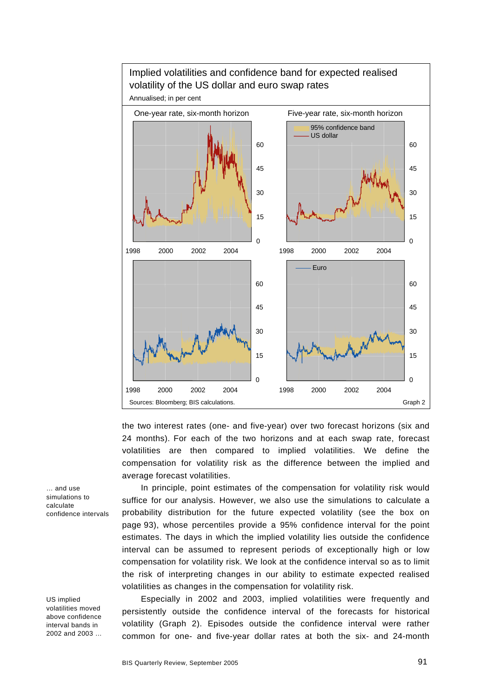

the two interest rates (one- and five-year) over two forecast horizons (six and 24 months). For each of the two horizons and at each swap rate, forecast volatilities are then compared to implied volatilities. We define the compensation for volatility risk as the difference between the implied and average forecast volatilities.

In principle, point estimates of the compensation for volatility risk would suffice for our analysis. However, we also use the simulations to calculate a probability distribution for the future expected volatility (see the box on page 93), whose percentiles provide a 95% confidence interval for the point estimates. The days in which the implied volatility lies outside the confidence interval can be assumed to represent periods of exceptionally high or low compensation for volatility risk. We look at the confidence interval so as to limit the risk of interpreting changes in our ability to estimate expected realised volatilities as changes in the compensation for volatility risk.

Especially in 2002 and 2003, implied volatilities were frequently and persistently outside the confidence interval of the forecasts for historical volatility (Graph 2). Episodes outside the confidence interval were rather common for one- and five-year dollar rates at both the six- and 24-month

… and use simulations to calculate confidence intervals

US implied volatilities moved above confidence interval bands in 2002 and 2003 …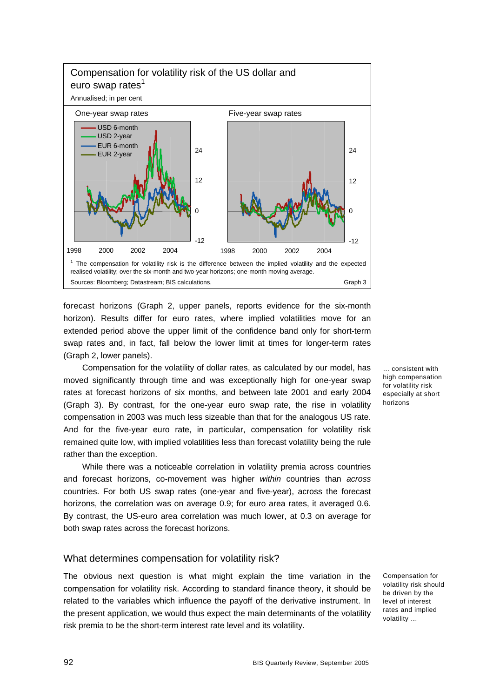

forecast horizons (Graph 2, upper panels, reports evidence for the six-month horizon). Results differ for euro rates, where implied volatilities move for an extended period above the upper limit of the confidence band only for short-term swap rates and, in fact, fall below the lower limit at times for longer-term rates (Graph 2, lower panels).

Compensation for the volatility of dollar rates, as calculated by our model, has moved significantly through time and was exceptionally high for one-year swap rates at forecast horizons of six months, and between late 2001 and early 2004 (Graph 3). By contrast, for the one-year euro swap rate, the rise in volatility compensation in 2003 was much less sizeable than that for the analogous US rate. And for the five-year euro rate, in particular, compensation for volatility risk remained quite low, with implied volatilities less than forecast volatility being the rule rather than the exception.

While there was a noticeable correlation in volatility premia across countries and forecast horizons, co-movement was higher *within* countries than *across*  countries. For both US swap rates (one-year and five-year), across the forecast horizons, the correlation was on average 0.9; for euro area rates, it averaged 0.6. By contrast, the US-euro area correlation was much lower, at 0.3 on average for both swap rates across the forecast horizons.

#### What determines compensation for volatility risk?

The obvious next question is what might explain the time variation in the compensation for volatility risk. According to standard finance theory, it should be related to the variables which influence the payoff of the derivative instrument. In the present application, we would thus expect the main determinants of the volatility risk premia to be the short-term interest rate level and its volatility.

… consistent with high compensation for volatility risk especially at short horizons

Compensation for volatility risk should be driven by the level of interest rates and implied volatility …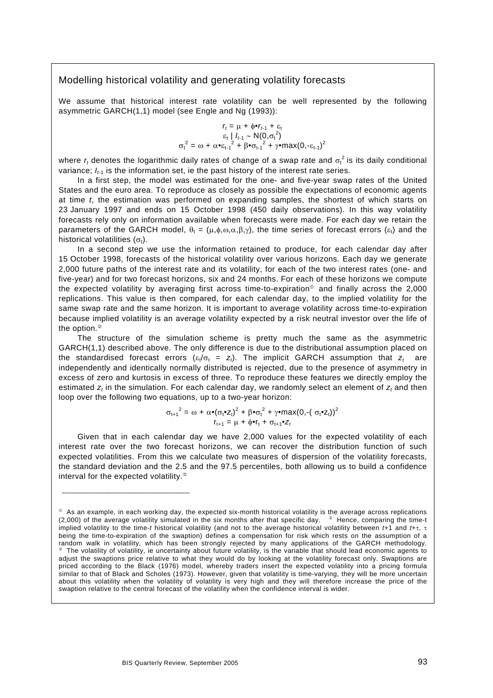#### Modelling historical volatility and generating volatility forecasts

We assume that historical interest rate volatility can be well represented by the following asymmetric GARCH(1,1) model (see Engle and Ng (1993)):

$$
r_{t} = \mu + \phi \bullet r_{t-1} + \varepsilon_{t}
$$
  
\n
$$
\varepsilon_{t} | I_{t-1} \sim N(0, \sigma_{t}^{2})
$$
  
\n
$$
\sigma_{t}^{2} = \omega + \alpha \bullet \varepsilon_{t-1}^{2} + \beta \bullet \sigma_{t-1}^{2} + \gamma \bullet \max(0, -\varepsilon_{t-1})^{2}
$$

where  $r_t$  denotes the logarithmic daily rates of change of a swap rate and  $\sigma_t^2$  is its daily conditional variance:  $I_{t1}$  is the information set, ie the past history of the interest rate series.

In a first step, the model was estimated for the one- and five-year swap rates of the United States and the euro area. To reproduce as closely as possible the expectations of economic agents at time *t*, the estimation was performed on expanding samples, the shortest of which starts on 23 January 1997 and ends on 15 October 1998 (450 daily observations). In this way volatility forecasts rely only on information available when forecasts were made. For each day we retain the parameters of the GARCH model,  $\theta_t = (\mu, \phi, \omega, \alpha, \beta, \gamma)$ , the time series of forecast errors  $(\varepsilon_t)$  and the historical volatilities  $(\sigma_t)$ .

In a second step we use the information retained to produce, for each calendar day after 15 October 1998, forecasts of the historical volatility over various horizons. Each day we generate 2,000 future paths of the interest rate and its volatility, for each of the two interest rates (one- and five-year) and for two forecast horizons, six and 24 months. For each of these horizons we compute the expected volatility by averaging first across time-to-expiration<sup> $\circ$ </sup> and finally across the 2,000 replications. This value is then compared, for each calendar day, to the implied volatility for the same swap rate and the same horizon. It is important to average volatility across time-to-expiration because implied volatility is an average volatility expected by a risk neutral investor over the life of the option. $^{\circ}$ 

The structure of the simulation scheme is pretty much the same as the asymmetric GARCH(1,1) described above. The only difference is due to the distributional assumption placed on the standardised forecast errors  $(s_t/\sigma_t = z_t)$ . The implicit GARCH assumption that  $z_t$  are independently and identically normally distributed is rejected, due to the presence of asymmetry in excess of zero and kurtosis in excess of three. To reproduce these features we directly employ the estimated  $z_t$  in the simulation. For each calendar day, we randomly select an element of  $z_t$  and then loop over the following two equations, up to a two-year horizon:

$$
\sigma_{t+1}^2 = \omega + \alpha \bullet (\sigma_t \bullet z_t)^2 + \beta \bullet \sigma_t^2 + \gamma \bullet \text{max}(0, -(\sigma_t \bullet z_t))^2
$$
  

$$
r_{t+1} = \mu + \phi \bullet r_t + \sigma_{t+1} \bullet z_t
$$

Given that in each calendar day we have 2,000 values for the expected volatility of each interest rate over the two forecast horizons, we can recover the distribution function of such expected volatilities. From this we calculate two measures of dispersion of the volatility forecasts, the standard deviation and the 2.5 and the 97.5 percentiles, both allowing us to build a confidence interval for the expected volatility. $\mathcal{P}$ 

\_\_\_\_\_\_\_\_\_\_\_\_\_\_\_\_\_\_\_\_\_\_\_\_\_\_\_\_\_\_\_\_\_

 $\degree$  As an example, in each working day, the expected six-month historical volatility is the average across replications  $(2,000)$  of the average volatility simulated in the six months after that specific day.  $\degree$  Hence, comparing the time-t implied volatility to the time-*t* historical volatility (and not to the average historical volatility between *t*+1 and *t*+τ, τ being the time-to-expiration of the swaption) defines a compensation for risk which rests on the assumption of a random walk in volatility, which has been strongly rejected by many applications of the GARCH methodology. <sup>e</sup> The volatility of volatility, ie uncertainty about future volatility, is the variable that should lead economic agents to adjust the swaptions price relative to what they would do by looking at the volatility forecast only. Swaptions are priced according to the Black (1976) model, whereby traders insert the expected volatility into a pricing formula similar to that of Black and Scholes (1973). However, given that volatility is time-varying, they will be more uncertain about this volatility when the volatility of volatility is very high and they will therefore increase the price of the swaption relative to the central forecast of the volatility when the confidence interval is wider.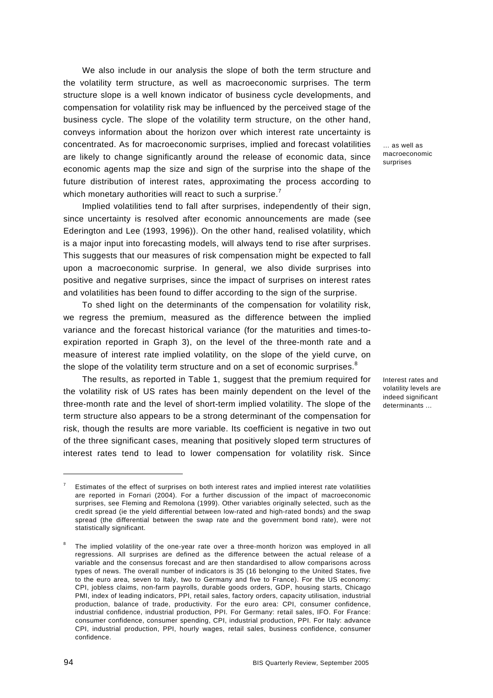We also include in our analysis the slope of both the term structure and the volatility term structure, as well as macroeconomic surprises. The term structure slope is a well known indicator of business cycle developments, and compensation for volatility risk may be influenced by the perceived stage of the business cycle. The slope of the volatility term structure, on the other hand, conveys information about the horizon over which interest rate uncertainty is concentrated. As for macroeconomic surprises, implied and forecast volatilities are likely to change significantly around the release of economic data, since economic agents map the size and sign of the surprise into the shape of the future distribution of interest rates, approximating the process according to which monetary authorities will react to such a surprise.<sup>7</sup>

Implied volatilities tend to fall after surprises, independently of their sign, since uncertainty is resolved after economic announcements are made (see Ederington and Lee (1993, 1996)). On the other hand, realised volatility, which is a major input into forecasting models, will always tend to rise after surprises. This suggests that our measures of risk compensation might be expected to fall upon a macroeconomic surprise. In general, we also divide surprises into positive and negative surprises, since the impact of surprises on interest rates and volatilities has been found to differ according to the sign of the surprise.

To shed light on the determinants of the compensation for volatility risk, we regress the premium, measured as the difference between the implied variance and the forecast historical variance (for the maturities and times-toexpiration reported in Graph 3), on the level of the three-month rate and a measure of interest rate implied volatility, on the slope of the yield curve, on the slope of the volatility term structure and on a set of economic surprises. $^8$ 

The results, as reported in Table 1, suggest that the premium required for the volatility risk of US rates has been mainly dependent on the level of the three-month rate and the level of short-term implied volatility. The slope of the term structure also appears to be a strong determinant of the compensation for risk, though the results are more variable. Its coefficient is negative in two out of the three significant cases, meaning that positively sloped term structures of interest rates tend to lead to lower compensation for volatility risk. Since

… as well as macroeconomic surprises

Interest rates and volatility levels are indeed significant determinants ...

<sup>7</sup> Estimates of the effect of surprises on both interest rates and implied interest rate volatilities are reported in Fornari (2004). For a further discussion of the impact of macroeconomic surprises, see Fleming and Remolona (1999). Other variables originally selected, such as the credit spread (ie the yield differential between low-rated and high-rated bonds) and the swap spread (the differential between the swap rate and the government bond rate), were not statistically significant.

<sup>8</sup> The implied volatility of the one-year rate over a three-month horizon was employed in all regressions. All surprises are defined as the difference between the actual release of a variable and the consensus forecast and are then standardised to allow comparisons across types of news. The overall number of indicators is 35 (16 belonging to the United States, five to the euro area, seven to Italy, two to Germany and five to France). For the US economy: CPI, jobless claims, non-farm payrolls, durable goods orders, GDP, housing starts, Chicago PMI, index of leading indicators, PPI, retail sales, factory orders, capacity utilisation, industrial production, balance of trade, productivity. For the euro area: CPI, consumer confidence, industrial confidence, industrial production, PPI. For Germany: retail sales, IFO. For France: consumer confidence, consumer spending, CPI, industrial production, PPI. For Italy: advance CPI, industrial production, PPI, hourly wages, retail sales, business confidence, consumer confidence.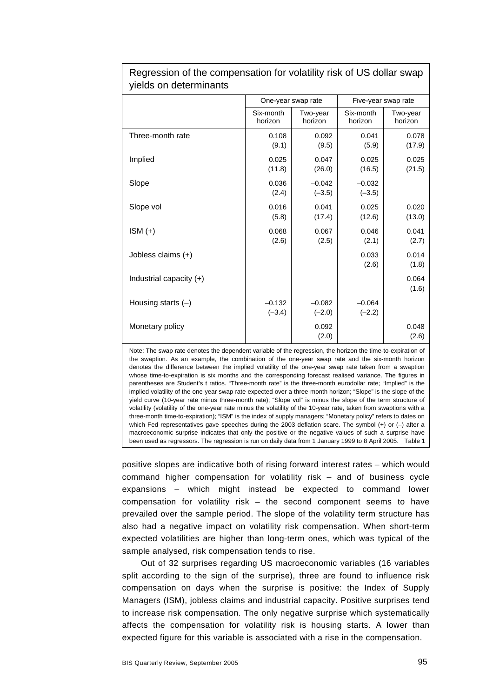| <u> ao: </u>              |                      |                      |                      |                     |  |  |
|---------------------------|----------------------|----------------------|----------------------|---------------------|--|--|
|                           | One-year swap rate   |                      | Five-year swap rate  |                     |  |  |
|                           | Six-month<br>horizon | Two-year<br>horizon  | Six-month<br>horizon | Two-year<br>horizon |  |  |
| Three-month rate          | 0.108<br>(9.1)       | 0.092<br>(9.5)       | 0.041<br>(5.9)       | 0.078<br>(17.9)     |  |  |
| Implied                   | 0.025<br>(11.8)      | 0.047<br>(26.0)      | 0.025<br>(16.5)      | 0.025<br>(21.5)     |  |  |
| Slope                     | 0.036<br>(2.4)       | $-0.042$<br>$(-3.5)$ | $-0.032$<br>$(-3.5)$ |                     |  |  |
| Slope vol                 | 0.016<br>(5.8)       | 0.041<br>(17.4)      | 0.025<br>(12.6)      | 0.020<br>(13.0)     |  |  |
| $ISM (+)$                 | 0.068<br>(2.6)       | 0.067<br>(2.5)       | 0.046<br>(2.1)       | 0.041<br>(2.7)      |  |  |
| Jobless claims (+)        |                      |                      | 0.033<br>(2.6)       | 0.014<br>(1.8)      |  |  |
| Industrial capacity $(+)$ |                      |                      |                      | 0.064<br>(1.6)      |  |  |
| Housing starts $(-)$      | $-0.132$<br>$(-3.4)$ | $-0.082$<br>$(-2.0)$ | $-0.064$<br>$(-2.2)$ |                     |  |  |
| Monetary policy           |                      | 0.092<br>(2.0)       |                      | 0.048<br>(2.6)      |  |  |

Regression of the compensation for volatility risk of US dollar swap yields on determinants

Note: The swap rate denotes the dependent variable of the regression, the horizon the time-to-expiration of the swaption. As an example, the combination of the one-year swap rate and the six-month horizon denotes the difference between the implied volatility of the one-year swap rate taken from a swaption whose time-to-expiration is six months and the corresponding forecast realised variance. The figures in parentheses are Student's t ratios. "Three-month rate" is the three-month eurodollar rate; "Implied" is the implied volatility of the one-year swap rate expected over a three-month horizon; "Slope" is the slope of the yield curve (10-year rate minus three-month rate); "Slope vol" is minus the slope of the term structure of volatility (volatility of the one-year rate minus the volatility of the 10-year rate, taken from swaptions with a three-month time-to-expiration); "ISM" is the index of supply managers; "Monetary policy" refers to dates on which Fed representatives gave speeches during the 2003 deflation scare. The symbol (+) or (-) after a macroeconomic surprise indicates that only the positive or the negative values of such a surprise have been used as regressors. The regression is run on daily data from 1 January 1999 to 8 April 2005. Table 1

positive slopes are indicative both of rising forward interest rates – which would command higher compensation for volatility risk – and of business cycle expansions – which might instead be expected to command lower compensation for volatility risk – the second component seems to have prevailed over the sample period. The slope of the volatility term structure has also had a negative impact on volatility risk compensation. When short-term expected volatilities are higher than long-term ones, which was typical of the sample analysed, risk compensation tends to rise.

Out of 32 surprises regarding US macroeconomic variables (16 variables split according to the sign of the surprise), three are found to influence risk compensation on days when the surprise is positive: the Index of Supply Managers (ISM), jobless claims and industrial capacity. Positive surprises tend to increase risk compensation. The only negative surprise which systematically affects the compensation for volatility risk is housing starts. A lower than expected figure for this variable is associated with a rise in the compensation.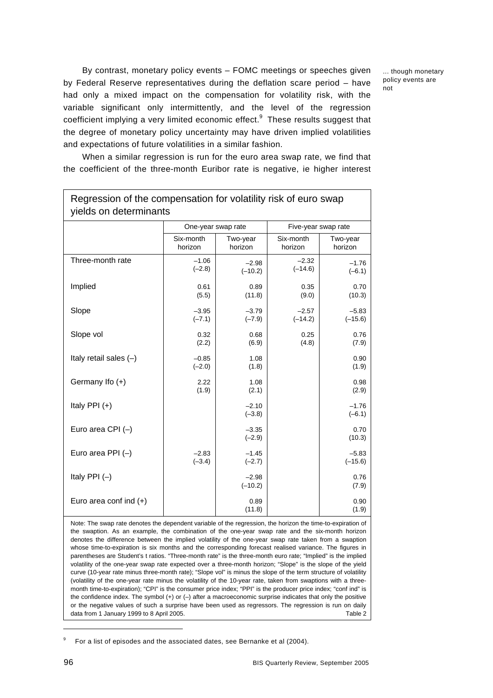... though monetary policy events are not

By contrast, monetary policy events – FOMC meetings or speeches given by Federal Reserve representatives during the deflation scare period – have had only a mixed impact on the compensation for volatility risk, with the variable significant only intermittently, and the level of the regression coefficient implying a very limited economic effect. $9$  These results suggest that the degree of monetary policy uncertainty may have driven implied volatilities and expectations of future volatilities in a similar fashion.

When a similar regression is run for the euro area swap rate, we find that the coefficient of the three-month Euribor rate is negative, ie higher interest

Regression of the compensation for volatility risk of euro swap

| yields on determinants   |                      |                      |                      |                      |  |  |
|--------------------------|----------------------|----------------------|----------------------|----------------------|--|--|
|                          | One-year swap rate   |                      | Five-year swap rate  |                      |  |  |
|                          | Six-month<br>horizon | Two-year<br>horizon  | Six-month<br>horizon | Two-year<br>horizon  |  |  |
| Three-month rate         | $-1.06$<br>$(-2.8)$  | $-2.98$<br>$(-10.2)$ | $-2.32$<br>$(-14.6)$ | $-1.76$<br>$(-6.1)$  |  |  |
| Implied                  | 0.61<br>(5.5)        | 0.89<br>(11.8)       | 0.35<br>(9.0)        | 0.70<br>(10.3)       |  |  |
| Slope                    | $-3.95$<br>$(-7.1)$  | $-3.79$<br>$(-7.9)$  | $-2.57$<br>$(-14.2)$ | $-5.83$<br>$(-15.6)$ |  |  |
| Slope vol                | 0.32<br>(2.2)        | 0.68<br>(6.9)        | 0.25<br>(4.8)        | 0.76<br>(7.9)        |  |  |
| Italy retail sales (-)   | $-0.85$<br>$(-2.0)$  | 1.08<br>(1.8)        |                      | 0.90<br>(1.9)        |  |  |
| Germany Ifo (+)          | 2.22<br>(1.9)        | 1.08<br>(2.1)        |                      | 0.98<br>(2.9)        |  |  |
| Italy PPI $(+)$          |                      | $-2.10$<br>$(-3.8)$  |                      | $-1.76$<br>$(-6.1)$  |  |  |
| Euro area CPI $(-)$      |                      | $-3.35$<br>$(-2.9)$  |                      | 0.70<br>(10.3)       |  |  |
| Euro area PPI $(-)$      | $-2.83$<br>$(-3.4)$  | $-1.45$<br>$(-2.7)$  |                      | $-5.83$<br>$(-15.6)$ |  |  |
| Italy PPI $(-)$          |                      | $-2.98$<br>$(-10.2)$ |                      | 0.76<br>(7.9)        |  |  |
| Euro area conf ind $(+)$ |                      | 0.89<br>(11.8)       |                      | 0.90<br>(1.9)        |  |  |

Note: The swap rate denotes the dependent variable of the regression, the horizon the time-to-expiration of the swaption. As an example, the combination of the one-year swap rate and the six-month horizon denotes the difference between the implied volatility of the one-year swap rate taken from a swaption whose time-to-expiration is six months and the corresponding forecast realised variance. The figures in parentheses are Student's t ratios. "Three-month rate" is the three-month euro rate; "Implied" is the implied volatility of the one-year swap rate expected over a three-month horizon; "Slope" is the slope of the yield curve (10-year rate minus three-month rate); "Slope vol" is minus the slope of the term structure of volatility (volatility of the one-year rate minus the volatility of the 10-year rate, taken from swaptions with a threemonth time-to-expiration); "CPI" is the consumer price index; "PPI" is the producer price index; "conf ind" is the confidence index. The symbol  $(+)$  or  $(-)$  after a macroeconomic surprise indicates that only the positive or the negative values of such a surprise have been used as regressors. The regression is run on daily data from 1 January 1999 to 8 April 2005. Table 2 and the state of the state of the state of the state of the state of the state of the state of the state of the state of the state of the state of the state of the state of

<sup>9</sup> For a list of episodes and the associated dates, see Bernanke et al (2004).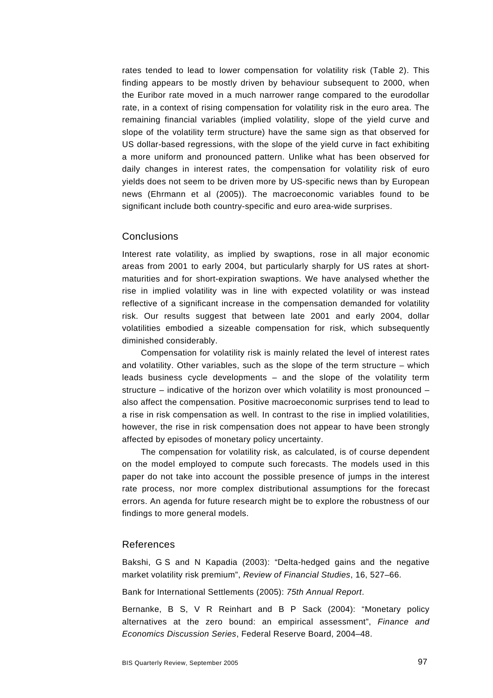rates tended to lead to lower compensation for volatility risk (Table 2). This finding appears to be mostly driven by behaviour subsequent to 2000, when the Euribor rate moved in a much narrower range compared to the eurodollar rate, in a context of rising compensation for volatility risk in the euro area. The remaining financial variables (implied volatility, slope of the yield curve and slope of the volatility term structure) have the same sign as that observed for US dollar-based regressions, with the slope of the yield curve in fact exhibiting a more uniform and pronounced pattern. Unlike what has been observed for daily changes in interest rates, the compensation for volatility risk of euro yields does not seem to be driven more by US-specific news than by European news (Ehrmann et al (2005)). The macroeconomic variables found to be significant include both country-specific and euro area-wide surprises.

### **Conclusions**

Interest rate volatility, as implied by swaptions, rose in all major economic areas from 2001 to early 2004, but particularly sharply for US rates at shortmaturities and for short-expiration swaptions. We have analysed whether the rise in implied volatility was in line with expected volatility or was instead reflective of a significant increase in the compensation demanded for volatility risk. Our results suggest that between late 2001 and early 2004, dollar volatilities embodied a sizeable compensation for risk, which subsequently diminished considerably.

Compensation for volatility risk is mainly related the level of interest rates and volatility. Other variables, such as the slope of the term structure – which leads business cycle developments – and the slope of the volatility term structure – indicative of the horizon over which volatility is most pronounced – also affect the compensation. Positive macroeconomic surprises tend to lead to a rise in risk compensation as well. In contrast to the rise in implied volatilities, however, the rise in risk compensation does not appear to have been strongly affected by episodes of monetary policy uncertainty.

The compensation for volatility risk, as calculated, is of course dependent on the model employed to compute such forecasts. The models used in this paper do not take into account the possible presence of jumps in the interest rate process, nor more complex distributional assumptions for the forecast errors. An agenda for future research might be to explore the robustness of our findings to more general models.

#### References

Bakshi, G S and N Kapadia (2003): "Delta-hedged gains and the negative market volatility risk premium", *Review of Financial Studies*, 16, 527–66.

Bank for International Settlements (2005): *75th Annual Report*.

Bernanke, B S, V R Reinhart and B P Sack (2004): "Monetary policy alternatives at the zero bound: an empirical assessment", *Finance and Economics Discussion Series*, Federal Reserve Board, 2004–48.